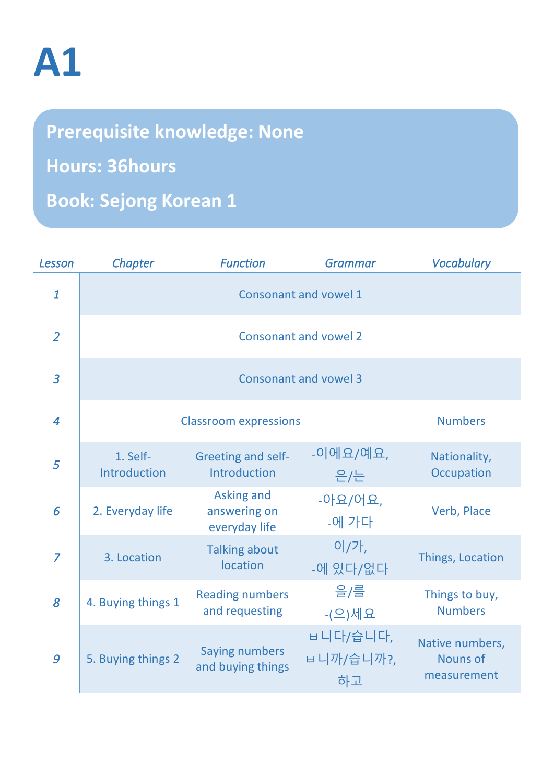## **A1**

**Prerequisite knowledge: None Hours: 36hours Book: Sejong Korean 1**

| Lesson         | Chapter                      | <b>Function</b>                                    | <b>Grammar</b>              | <b>Vocabulary</b>                                 |  |  |
|----------------|------------------------------|----------------------------------------------------|-----------------------------|---------------------------------------------------|--|--|
| $\mathbf{1}$   | Consonant and vowel 1        |                                                    |                             |                                                   |  |  |
| $\overline{2}$ | <b>Consonant and vowel 2</b> |                                                    |                             |                                                   |  |  |
| $\overline{3}$ | <b>Consonant and vowel 3</b> |                                                    |                             |                                                   |  |  |
| $\overline{4}$ | <b>Classroom expressions</b> | <b>Numbers</b>                                     |                             |                                                   |  |  |
| 5              | 1. Self-<br>Introduction     | <b>Greeting and self-</b><br>Introduction          | -이에요/예요,<br>은/는             | Nationality,<br>Occupation                        |  |  |
| 6              | 2. Everyday life             | <b>Asking and</b><br>answering on<br>everyday life | $-0$ 요/어요,<br>-에 가다         | Verb, Place                                       |  |  |
| $\overline{7}$ | 3. Location                  | <b>Talking about</b><br>location                   | 이/가,<br>-에 있다/없다            | Things, Location                                  |  |  |
| 8              | 4. Buying things 1           | <b>Reading numbers</b><br>and requesting           | 을/를<br>- $($ 으)세요           | Things to buy,<br><b>Numbers</b>                  |  |  |
| 9              | 5. Buying things 2           | <b>Saying numbers</b><br>and buying things         | ㅂ니다/습니다,<br>ㅂ니까/습니까?,<br>하고 | Native numbers,<br><b>Nouns of</b><br>measurement |  |  |